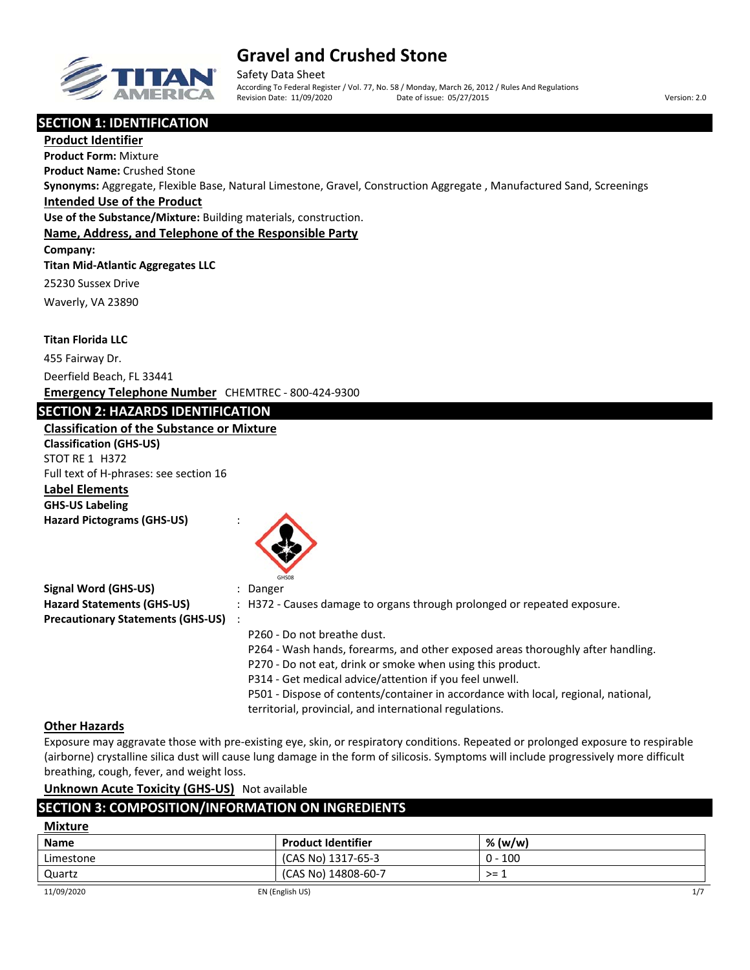

# **Gravel and Crushed Stone**

Safety Data Sheet According To Federal Register / Vol. 77, No. 58 / Monday, March 26, 2012 / Rules And Regulations Revision Date: 11/09/2020 Date of issue: 05/27/2015 Version: 2.0

# **SECTION 1: IDENTIFICATION**

**Product Identifier Product Form:** Mixture **Product Name:** Crushed Stone **Synonyms:** Aggregate, Flexible Base, Natural Limestone, Gravel, Construction Aggregate , Manufactured Sand, Screenings **Intended Use of the Product Use of the Substance/Mixture:** Building materials, construction. **Name, Address, and Telephone of the Responsible Party Company: Titan Mid‐Atlantic Aggregates LLC** 25230 Sussex Drive Waverly, VA 23890 **Titan Florida LLC** 455 Fairway Dr.

Deerfield Beach, FL 33441

**Emergency Telephone Number** CHEMTREC ‐ 800‐424‐9300

# **SECTION 2: HAZARDS IDENTIFICATION**

## **Classification of the Substance or Mixture**

**Classification (GHS‐US)** STOT RE 1 H372 Full text of H‐phrases: see section 16 **Label Elements GHS‐US Labeling**

**Hazard Pictograms (GHS‐US)** :



| <b>Signal Word (GHS-US)</b>              | Danger                                                                             |
|------------------------------------------|------------------------------------------------------------------------------------|
| <b>Hazard Statements (GHS-US)</b>        | : H372 - Causes damage to organs through prolonged or repeated exposure.           |
| <b>Precautionary Statements (GHS-US)</b> |                                                                                    |
|                                          | P260 - Do not breathe dust.                                                        |
|                                          | P264 - Wash hands, forearms, and other exposed areas thoroughly after handling.    |
|                                          | P270 - Do not eat, drink or smoke when using this product.                         |
|                                          | P314 - Get medical advice/attention if you feel unwell.                            |
|                                          | P501 - Dispose of contents/container in accordance with local, regional, national, |
|                                          | territorial, provincial, and international regulations.                            |

### **Other Hazards**

Exposure may aggravate those with pre‐existing eye, skin, or respiratory conditions. Repeated or prolonged exposure to respirable (airborne) crystalline silica dust will cause lung damage in the form of silicosis. Symptoms will include progressively more difficult breathing, cough, fever, and weight loss.

**Unknown Acute Toxicity (GHS‐US)** Not available

# **SECTION 3: COMPOSITION/INFORMATION ON INGREDIENTS**

| <b>Mixture</b> |                           |           |     |
|----------------|---------------------------|-----------|-----|
| <b>Name</b>    | <b>Product Identifier</b> | % (w/w)   |     |
| Limestone      | (CAS No) 1317-65-3        | $0 - 100$ |     |
| Quartz         | (CAS No) 14808-60-7       | >= 1      |     |
| 11/09/2020     | EN (English US)           |           | 1/7 |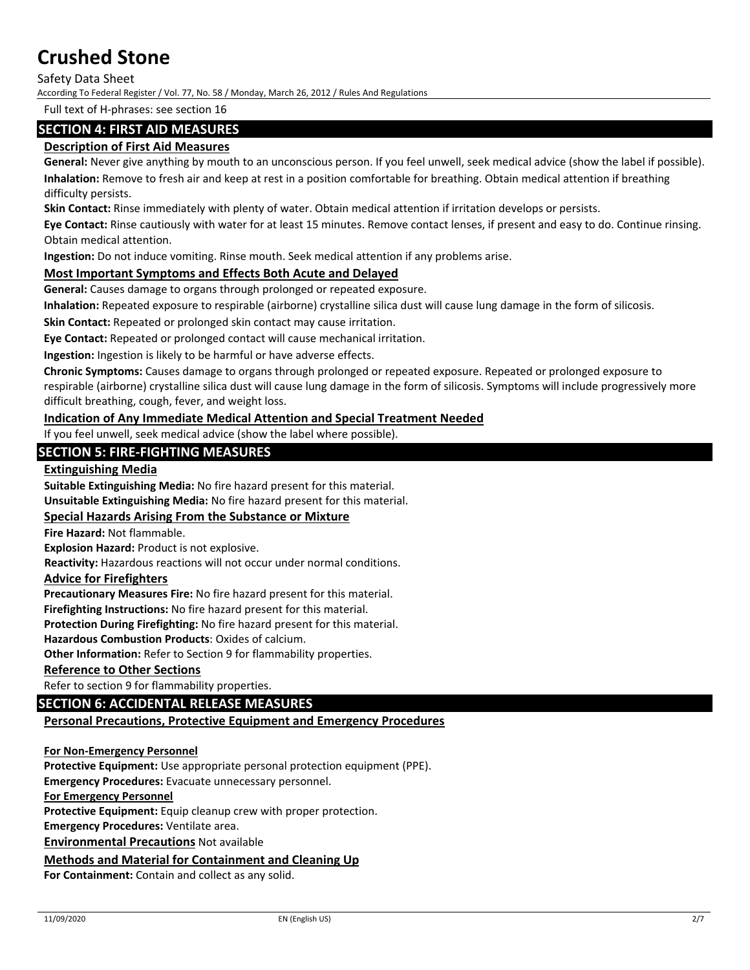Safety Data Sheet

According To Federal Register / Vol. 77, No. 58 / Monday, March 26, 2012 / Rules And Regulations

Full text of H‐phrases: see section 16

## **SECTION 4: FIRST AID MEASURES**

## **Description of First Aid Measures**

**General:** Never give anything by mouth to an unconscious person. If you feel unwell, seek medical advice (show the label if possible). **Inhalation:** Remove to fresh air and keep at rest in a position comfortable for breathing. Obtain medical attention if breathing difficulty persists.

**Skin Contact:** Rinse immediately with plenty of water. Obtain medical attention if irritation develops or persists.

**Eye Contact:** Rinse cautiously with water for at least 15 minutes. Remove contact lenses, if present and easy to do. Continue rinsing. Obtain medical attention.

**Ingestion:** Do not induce vomiting. Rinse mouth. Seek medical attention if any problems arise.

### **Most Important Symptoms and Effects Both Acute and Delayed**

**General:** Causes damage to organs through prolonged or repeated exposure.

**Inhalation:** Repeated exposure to respirable (airborne) crystalline silica dust will cause lung damage in the form of silicosis.

**Skin Contact:** Repeated or prolonged skin contact may cause irritation.

**Eye Contact:** Repeated or prolonged contact will cause mechanical irritation.

**Ingestion:** Ingestion is likely to be harmful or have adverse effects.

**Chronic Symptoms:** Causes damage to organs through prolonged or repeated exposure. Repeated or prolonged exposure to respirable (airborne) crystalline silica dust will cause lung damage in the form of silicosis. Symptoms will include progressively more difficult breathing, cough, fever, and weight loss.

### **Indication of Any Immediate Medical Attention and Special Treatment Needed**

If you feel unwell, seek medical advice (show the label where possible).

# **SECTION 5: FIRE‐FIGHTING MEASURES**

#### **Extinguishing Media**

**Suitable Extinguishing Media:** No fire hazard present for this material.

**Unsuitable Extinguishing Media:** No fire hazard present for this material.

#### **Special Hazards Arising From the Substance or Mixture**

**Fire Hazard:** Not flammable.

**Explosion Hazard:** Product is not explosive.

**Reactivity:** Hazardous reactions will not occur under normal conditions.

#### **Advice for Firefighters**

**Precautionary Measures Fire:** No fire hazard present for this material.

**Firefighting Instructions:** No fire hazard present for this material.

**Protection During Firefighting:** No fire hazard present for this material.

**Hazardous Combustion Products**: Oxides of calcium.

**Other Information:** Refer to Section 9 for flammability properties.

#### **Reference to Other Sections**

Refer to section 9 for flammability properties.

## **SECTION 6: ACCIDENTAL RELEASE MEASURES**

### **Personal Precautions, Protective Equipment and Emergency Procedures**

#### **For Non‐Emergency Personnel**

**Protective Equipment:** Use appropriate personal protection equipment (PPE).

**Emergency Procedures:** Evacuate unnecessary personnel.

#### **For Emergency Personnel**

**Protective Equipment:** Equip cleanup crew with proper protection.

**Emergency Procedures:** Ventilate area.

**Environmental Precautions** Not available

#### **Methods and Material for Containment and Cleaning Up**

**For Containment:** Contain and collect as any solid.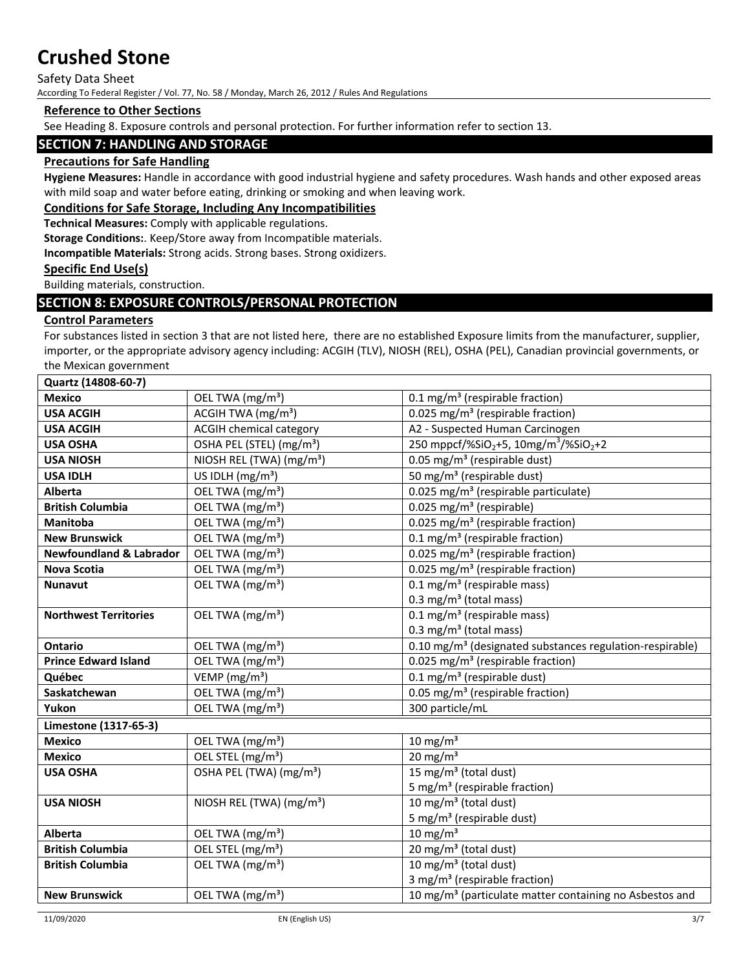#### Safety Data Sheet

According To Federal Register / Vol. 77, No. 58 / Monday, March 26, 2012 / Rules And Regulations

# **Reference to Other Sections**

See Heading 8. Exposure controls and personal protection. For further information refer to section 13.

## **SECTION 7: HANDLING AND STORAGE**

## **Precautions for Safe Handling**

**Hygiene Measures:** Handle in accordance with good industrial hygiene and safety procedures. Wash hands and other exposed areas with mild soap and water before eating, drinking or smoking and when leaving work.

#### **Conditions for Safe Storage, Including Any Incompatibilities**

**Technical Measures:** Comply with applicable regulations.

**Storage Conditions:**. Keep/Store away from Incompatible materials.

**Incompatible Materials:** Strong acids. Strong bases. Strong oxidizers.

#### **Specific End Use(s)**

Building materials, construction.

## **SECTION 8: EXPOSURE CONTROLS/PERSONAL PROTECTION**

#### **Control Parameters**

For substances listed in section 3 that are not listed here, there are no established Exposure limits from the manufacturer, supplier, importer, or the appropriate advisory agency including: ACGIH (TLV), NIOSH (REL), OSHA (PEL), Canadian provincial governments, or the Mexican government

| Quartz (14808-60-7)                |                                      |                                                                           |
|------------------------------------|--------------------------------------|---------------------------------------------------------------------------|
| <b>Mexico</b>                      | OEL TWA (mg/m <sup>3</sup> )         | 0.1 mg/m <sup>3</sup> (respirable fraction)                               |
| <b>USA ACGIH</b>                   | ACGIH TWA (mg/m <sup>3</sup> )       | 0.025 mg/m <sup>3</sup> (respirable fraction)                             |
| <b>USA ACGIH</b>                   | <b>ACGIH chemical category</b>       | A2 - Suspected Human Carcinogen                                           |
| <b>USA OSHA</b>                    | OSHA PEL (STEL) (mg/m <sup>3</sup> ) | 250 mppcf/%SiO <sub>2</sub> +5, 10mg/m <sup>3</sup> /%SiO <sub>2</sub> +2 |
| <b>USA NIOSH</b>                   | NIOSH REL (TWA) (mg/m <sup>3</sup> ) | 0.05 mg/m <sup>3</sup> (respirable dust)                                  |
| <b>USA IDLH</b>                    | US IDLH (mg/m <sup>3</sup> )         | 50 mg/m <sup>3</sup> (respirable dust)                                    |
| <b>Alberta</b>                     | OEL TWA (mg/m <sup>3</sup> )         | 0.025 mg/m <sup>3</sup> (respirable particulate)                          |
| <b>British Columbia</b>            | OEL TWA (mg/m <sup>3</sup> )         | 0.025 mg/m <sup>3</sup> (respirable)                                      |
| Manitoba                           | OEL TWA (mg/m <sup>3</sup> )         | 0.025 mg/m <sup>3</sup> (respirable fraction)                             |
| <b>New Brunswick</b>               | OEL TWA (mg/m <sup>3</sup> )         | 0.1 mg/m <sup>3</sup> (respirable fraction)                               |
| <b>Newfoundland &amp; Labrador</b> | OEL TWA (mg/m <sup>3</sup> )         | 0.025 mg/m <sup>3</sup> (respirable fraction)                             |
| <b>Nova Scotia</b>                 | OEL TWA (mg/m <sup>3</sup> )         | 0.025 mg/m <sup>3</sup> (respirable fraction)                             |
| <b>Nunavut</b>                     | OEL TWA (mg/m <sup>3</sup> )         | 0.1 mg/m <sup>3</sup> (respirable mass)                                   |
|                                    |                                      | 0.3 mg/m <sup>3</sup> (total mass)                                        |
| <b>Northwest Territories</b>       | OEL TWA (mg/m <sup>3</sup> )         | $0.1$ mg/m <sup>3</sup> (respirable mass)                                 |
|                                    |                                      | 0.3 mg/m <sup>3</sup> (total mass)                                        |
| <b>Ontario</b>                     | OEL TWA (mg/m <sup>3</sup> )         | 0.10 mg/m <sup>3</sup> (designated substances regulation-respirable)      |
| <b>Prince Edward Island</b>        | OEL TWA (mg/m <sup>3</sup> )         | 0.025 mg/m <sup>3</sup> (respirable fraction)                             |
| Québec                             | VEMP ( $mg/m3$ )                     | 0.1 mg/m <sup>3</sup> (respirable dust)                                   |
| Saskatchewan                       | OEL TWA (mg/m <sup>3</sup> )         | 0.05 mg/m <sup>3</sup> (respirable fraction)                              |
| Yukon                              | OEL TWA (mg/m <sup>3</sup> )         | 300 particle/mL                                                           |
| Limestone (1317-65-3)              |                                      |                                                                           |
| <b>Mexico</b>                      | OEL TWA (mg/m <sup>3</sup> )         | $10 \text{ mg/m}^3$                                                       |
| <b>Mexico</b>                      | OEL STEL (mg/m <sup>3</sup> )        | $20 \text{ mg/m}^3$                                                       |
| <b>USA OSHA</b>                    | OSHA PEL (TWA) (mg/m <sup>3</sup> )  | 15 mg/m <sup>3</sup> (total dust)                                         |
|                                    |                                      | 5 mg/m <sup>3</sup> (respirable fraction)                                 |
| <b>USA NIOSH</b>                   | NIOSH REL (TWA) (mg/m <sup>3</sup> ) | 10 mg/m <sup>3</sup> (total dust)                                         |
|                                    |                                      | 5 mg/m <sup>3</sup> (respirable dust)                                     |
| Alberta                            | OEL TWA (mg/m <sup>3</sup> )         | $10 \text{ mg/m}^3$                                                       |
| <b>British Columbia</b>            | OEL STEL (mg/m <sup>3</sup> )        | 20 mg/m <sup>3</sup> (total dust)                                         |
| <b>British Columbia</b>            | OEL TWA (mg/m <sup>3</sup> )         | 10 mg/m <sup>3</sup> (total dust)                                         |
|                                    |                                      | 3 mg/m <sup>3</sup> (respirable fraction)                                 |
| <b>New Brunswick</b>               | OEL TWA (mg/m <sup>3</sup> )         | 10 mg/m <sup>3</sup> (particulate matter containing no Asbestos and       |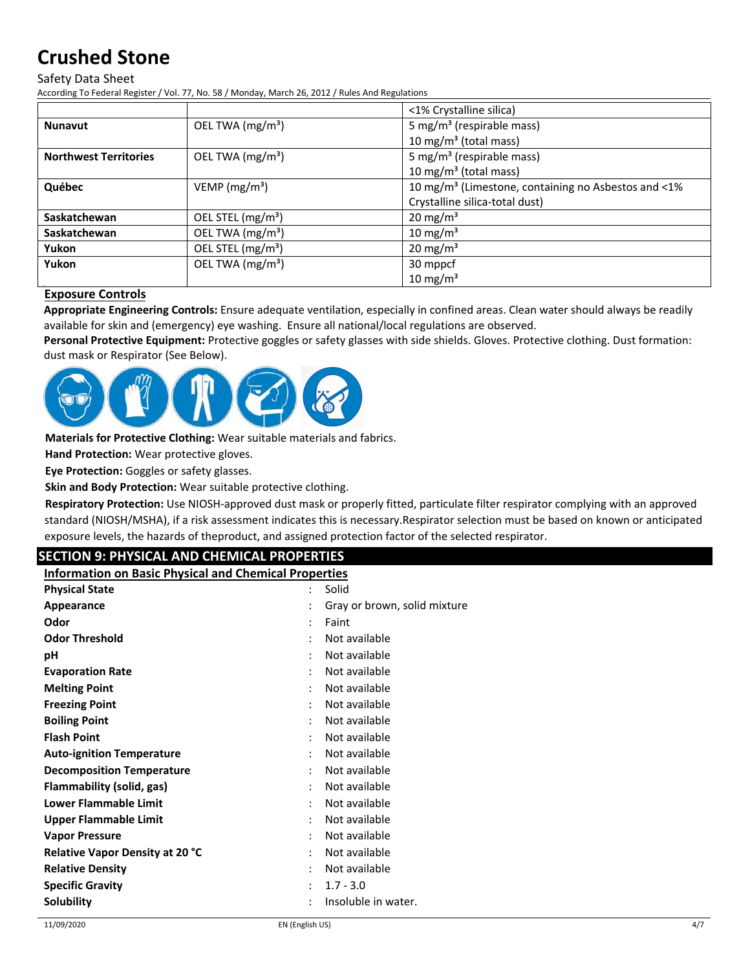#### Safety Data Sheet

According To Federal Register / Vol. 77, No. 58 / Monday, March 26, 2012 / Rules And Regulations

|                              |                               | <1% Crystalline silica)                                         |
|------------------------------|-------------------------------|-----------------------------------------------------------------|
| <b>Nunavut</b>               | OEL TWA $(mg/m3)$             | 5 mg/m <sup>3</sup> (respirable mass)                           |
|                              |                               | 10 mg/m <sup>3</sup> (total mass)                               |
| <b>Northwest Territories</b> | OEL TWA (mg/m <sup>3</sup> )  | 5 mg/m <sup>3</sup> (respirable mass)                           |
|                              |                               | 10 mg/m $3$ (total mass)                                        |
| Québec                       | VEMP ( $mg/m3$ )              | 10 mg/m <sup>3</sup> (Limestone, containing no Asbestos and <1% |
|                              |                               | Crystalline silica-total dust)                                  |
| Saskatchewan                 | OEL STEL (mg/m <sup>3</sup> ) | $20 \text{ mg/m}^3$                                             |
| Saskatchewan                 | OEL TWA (mg/m <sup>3</sup> )  | $10 \text{ mg/m}^3$                                             |
| Yukon                        | OEL STEL (mg/m <sup>3</sup> ) | $20 \text{ mg/m}^3$                                             |
| Yukon                        | OEL TWA (mg/m <sup>3</sup> )  | 30 mppcf                                                        |
|                              |                               | $10 \text{ mg/m}^3$                                             |

### **Exposure Controls**

**Appropriate Engineering Controls:** Ensure adequate ventilation, especially in confined areas. Clean water should always be readily available for skin and (emergency) eye washing. Ensure all national/local regulations are observed.

**Personal Protective Equipment:** Protective goggles or safety glasses with side shields. Gloves. Protective clothing. Dust formation: dust mask or Respirator (See Below).



**Materials for Protective Clothing:** Wear suitable materials and fabrics.

**Hand Protection:** Wear protective gloves.

**Eye Protection:** Goggles or safety glasses.

**Skin and Body Protection:** Wear suitable protective clothing.

**Respiratory Protection:** Use NIOSH‐approved dust mask or properly fitted, particulate filter respirator complying with an approved standard (NIOSH/MSHA), if a risk assessment indicates this is necessary.Respirator selection must be based on known or anticipated exposure levels, the hazards of theproduct, and assigned protection factor of the selected respirator.

# **SECTION 9: PHYSICAL AND CHEMICAL PROPERTIES**

**Information on Basic Physical and Chemical Properties**

| <b>Physical State</b>                  | Solid<br>٠                                     |  |
|----------------------------------------|------------------------------------------------|--|
| Appearance                             | Gray or brown, solid mixture<br>$\ddot{\cdot}$ |  |
| Odor                                   | Faint                                          |  |
| <b>Odor Threshold</b>                  | Not available<br>٠                             |  |
| рH                                     | Not available<br>٠                             |  |
| <b>Evaporation Rate</b>                | Not available                                  |  |
| <b>Melting Point</b>                   | Not available                                  |  |
| <b>Freezing Point</b>                  | Not available                                  |  |
| <b>Boiling Point</b>                   | Not available<br>٠                             |  |
| <b>Flash Point</b>                     | Not available                                  |  |
| <b>Auto-ignition Temperature</b>       | Not available                                  |  |
| <b>Decomposition Temperature</b>       | Not available<br>$\ddot{\phantom{a}}$          |  |
| Flammability (solid, gas)              | Not available                                  |  |
| <b>Lower Flammable Limit</b>           | Not available                                  |  |
| Upper Flammable Limit                  | Not available<br>٠                             |  |
| <b>Vapor Pressure</b>                  | Not available                                  |  |
| <b>Relative Vapor Density at 20 °C</b> | Not available                                  |  |
| <b>Relative Density</b>                | Not available<br>$\bullet$                     |  |
| <b>Specific Gravity</b>                | $1.7 - 3.0$<br>$\ddot{\phantom{a}}$            |  |
| Solubility                             | Insoluble in water.                            |  |
|                                        |                                                |  |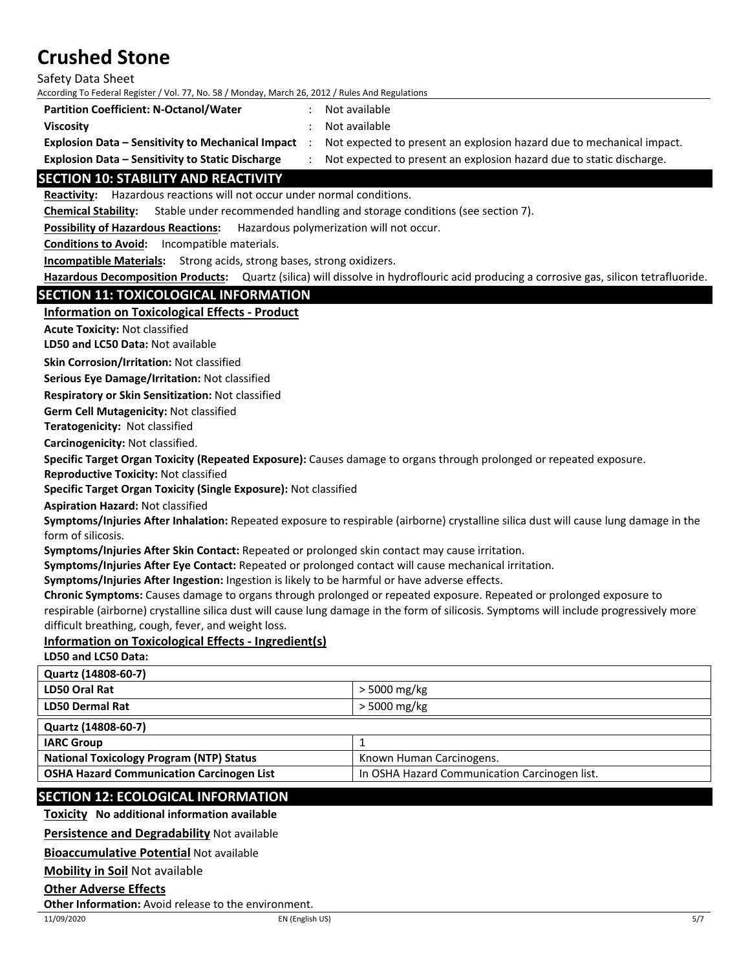Safety Data Sheet

According To Federal Register / Vol. 77, No. 58 / Monday, March 26, 2012 / Rules And Regulations

**Partition Coefficient: N‐Octanol/Water** : Not available

**Viscosity** : Not available

**Explosion Data – Sensitivity to Mechanical Impact** : Not expected to present an explosion hazard due to mechanical impact.

**Explosion Data – Sensitivity to Static Discharge** : Not expected to present an explosion hazard due to static discharge.

# **SECTION 10: STABILITY AND REACTIVITY**

Reactivity: Hazardous reactions will not occur under normal conditions.

**Chemical Stability:** Stable under recommended handling and storage conditions (see section 7).

**Possibility of Hazardous Reactions:** Hazardous polymerization will not occur.

**Conditions to Avoid:** Incompatible materials.

**Incompatible Materials:** Strong acids, strong bases, strong oxidizers.

**Hazardous Decomposition Products:** Quartz (silica) will dissolve in hydroflouric acid producing a corrosive gas, silicon tetrafluoride.

## **SECTION 11: TOXICOLOGICAL INFORMATION**

**Information on Toxicological Effects ‐ Product**

**Acute Toxicity:** Not classified

**LD50 and LC50 Data:** Not available

**Skin Corrosion/Irritation:** Not classified

**Serious Eye Damage/Irritation:** Not classified

**Respiratory or Skin Sensitization:** Not classified

**Germ Cell Mutagenicity:** Not classified

**Teratogenicity:** Not classified

**Carcinogenicity:** Not classified.

**Specific Target Organ Toxicity (Repeated Exposure):** Causes damage to organs through prolonged or repeated exposure.

**Reproductive Toxicity:** Not classified

**Specific Target Organ Toxicity (Single Exposure):** Not classified

**Aspiration Hazard:** Not classified

**Symptoms/Injuries After Inhalation:** Repeated exposure to respirable (airborne) crystalline silica dust will cause lung damage in the form of silicosis.

**Symptoms/Injuries After Skin Contact:** Repeated or prolonged skin contact may cause irritation.

**Symptoms/Injuries After Eye Contact:** Repeated or prolonged contact will cause mechanical irritation.

**Symptoms/Injuries After Ingestion:** Ingestion is likely to be harmful or have adverse effects.

**Chronic Symptoms:** Causes damage to organs through prolonged or repeated exposure. Repeated or prolonged exposure to respirable (airborne) crystalline silica dust will cause lung damage in the form of silicosis. Symptoms will include progressively more difficult breathing, cough, fever, and weight loss.

# **Information on Toxicological Effects ‐ Ingredient(s)**

**LD50 and LC50 Data:**

| Quartz (14808-60-7)                              |                                               |  |
|--------------------------------------------------|-----------------------------------------------|--|
| LD50 Oral Rat                                    | $>$ 5000 mg/kg                                |  |
| <b>LD50 Dermal Rat</b>                           | > 5000 mg/kg                                  |  |
| Quartz (14808-60-7)                              |                                               |  |
| <b>IARC Group</b>                                |                                               |  |
| <b>National Toxicology Program (NTP) Status</b>  | Known Human Carcinogens.                      |  |
| <b>OSHA Hazard Communication Carcinogen List</b> | In OSHA Hazard Communication Carcinogen list. |  |

## **SECTION 12: ECOLOGICAL INFORMATION**

**Toxicity No additional information available**

**Persistence and Degradability** Not available

**Bioaccumulative Potential** Not available

**Mobility in Soil** Not available

**Other Adverse Effects**

**Other Information:** Avoid release to the environment.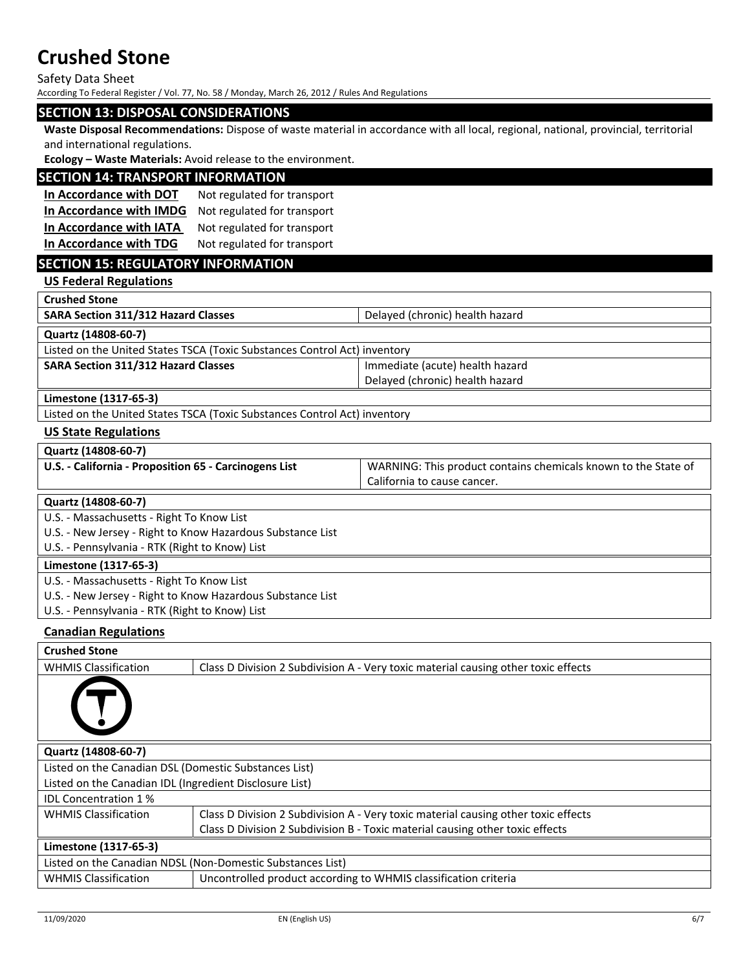Safety Data Sheet

According To Federal Register / Vol. 77, No. 58 / Monday, March 26, 2012 / Rules And Regulations

#### **SECTION 13: DISPOSAL CONSIDERATIONS**

**Waste Disposal Recommendations:** Dispose of waste material in accordance with all local, regional, national, provincial, territorial and international regulations.

**Ecology – Waste Materials:** Avoid release to the environment.

## **SECTION 14: TRANSPORT INFORMATION**

**In Accordance with DOT** Not regulated for transport **In Accordance with IMDG** Not regulated for transport **In Accordance with IATA** Not regulated for transport **In Accordance with TDG** Not regulated for transport

# **SECTION 15: REGULATORY INFORMATION**

**US Federal Regulations**

**Crushed Stone**

| <b>SARA Section 311/312 Hazard Classes</b>                                | Delayed (chronic) health hazard |  |
|---------------------------------------------------------------------------|---------------------------------|--|
| Quartz (14808-60-7)                                                       |                                 |  |
| Listed on the United States TSCA (Toxic Substances Control Act) inventory |                                 |  |

| י בואות אוויו נווכי טווונכש טנאכן וויס וויכולו ניסיוני טווויוס ווייכוונט ווייכוננטו ו |                                 |
|---------------------------------------------------------------------------------------|---------------------------------|
| <b>SARA Section 311/312 Hazard Classes</b>                                            | Immediate (acute) health hazard |
|                                                                                       | Delayed (chronic) health hazard |
|                                                                                       |                                 |

**Limestone (1317‐65‐3)**

Listed on the United States TSCA (Toxic Substances Control Act) inventory

#### **US State Regulations**

#### **Quartz (14808‐60‐7)**

| U.S. - California - Proposition 65 - Carcinogens List | U WARNING: This product contains chemicals known to the State of |
|-------------------------------------------------------|------------------------------------------------------------------|
|                                                       | California to cause cancer.                                      |
|                                                       |                                                                  |

**Quartz (14808‐60‐7)**

U.S. ‐ Massachusetts ‐ Right To Know List

U.S. ‐ New Jersey ‐ Right to Know Hazardous Substance List

U.S. ‐ Pennsylvania ‐ RTK (Right to Know) List

## **Limestone (1317‐65‐3)**

U.S. ‐ Massachusetts ‐ Right To Know List

- U.S. ‐ New Jersey ‐ Right to Know Hazardous Substance List
- U.S. ‐ Pennsylvania ‐ RTK (Right to Know) List

### **Canadian Regulations**

| <b>Crushed Stone</b>                                       |                                                                                    |  |
|------------------------------------------------------------|------------------------------------------------------------------------------------|--|
| <b>WHMIS Classification</b>                                | Class D Division 2 Subdivision A - Very toxic material causing other toxic effects |  |
|                                                            |                                                                                    |  |
| Quartz (14808-60-7)                                        |                                                                                    |  |
| Listed on the Canadian DSL (Domestic Substances List)      |                                                                                    |  |
| Listed on the Canadian IDL (Ingredient Disclosure List)    |                                                                                    |  |
| <b>IDL Concentration 1%</b>                                |                                                                                    |  |
| <b>WHMIS Classification</b>                                | Class D Division 2 Subdivision A - Very toxic material causing other toxic effects |  |
|                                                            | Class D Division 2 Subdivision B - Toxic material causing other toxic effects      |  |
| Limestone (1317-65-3)                                      |                                                                                    |  |
| Listed on the Canadian NDSL (Non-Domestic Substances List) |                                                                                    |  |
| <b>WHMIS Classification</b>                                | Uncontrolled product according to WHMIS classification criteria                    |  |